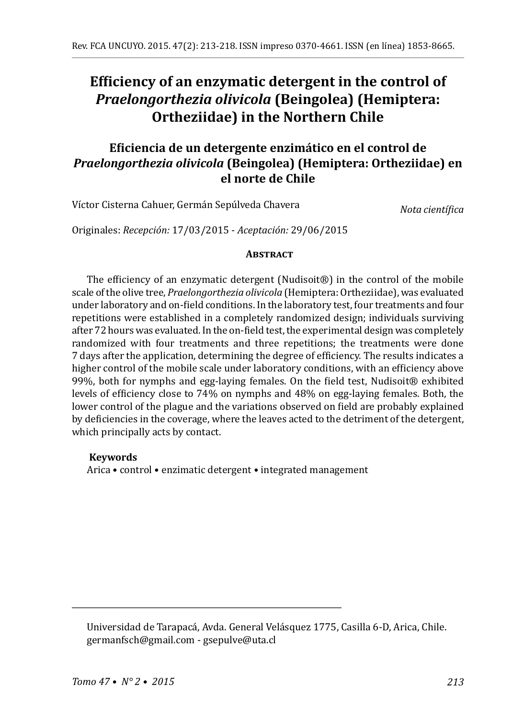# **Efficiency of an enzymatic detergent in the control of**  *Praelongorthezia olivicola* **(Beingolea) (Hemiptera: Ortheziidae) in the Northern Chile**

## **Eficiencia de un detergente enzimático en el control de**  *Praelongorthezia olivicola* **(Beingolea) (Hemiptera: Ortheziidae) en el norte de Chile**

Víctor Cisterna Cahuer, Germán Sepúlveda Chavera

*Nota científica*

Originales: *Recepción:* 17/03/2015 - *Aceptación:* 29/06/2015

#### **ABSTRACT**

The efficiency of an enzymatic detergent (Nudisoit®) in the control of the mobile scale of the olive tree, *Praelongorthezia olivicola* (Hemiptera: Ortheziidae), was evaluated under laboratory and on-field conditions. In the laboratory test, four treatments and four repetitions were established in a completely randomized design; individuals surviving after 72 hours was evaluated. In the on-field test, the experimental design was completely randomized with four treatments and three repetitions; the treatments were done 7 days after the application, determining the degree of efficiency. The results indicates a higher control of the mobile scale under laboratory conditions, with an efficiency above 99%, both for nymphs and egg-laying females. On the field test, Nudisoit® exhibited levels of efficiency close to 74% on nymphs and 48% on egg-laying females. Both, the lower control of the plague and the variations observed on field are probably explained by deficiencies in the coverage, where the leaves acted to the detriment of the detergent, which principally acts by contact.

### **Keywords**

Arica • control • enzimatic detergent • integrated management

Universidad de Tarapacá, Avda. General Velásquez 1775, Casilla 6-D, Arica, Chile. germanfsch@gmail.com - gsepulve@uta.cl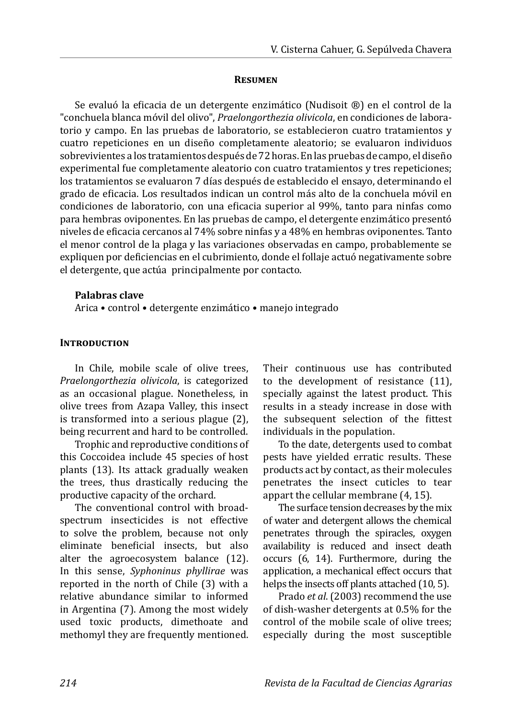#### **Resumen**

Se evaluó la eficacia de un detergente enzimático (Nudisoit ®) en el control de la "conchuela blanca móvil del olivo", *Praelongorthezia olivicola*, en condiciones de laboratorio y campo. En las pruebas de laboratorio, se establecieron cuatro tratamientos y cuatro repeticiones en un diseño completamente aleatorio; se evaluaron individuos sobrevivientes a los tratamientos después de 72 horas. En las pruebas de campo, el diseño experimental fue completamente aleatorio con cuatro tratamientos y tres repeticiones; los tratamientos se evaluaron 7 días después de establecido el ensayo, determinando el grado de eficacia. Los resultados indican un control más alto de la conchuela móvil en condiciones de laboratorio, con una eficacia superior al 99%, tanto para ninfas como para hembras oviponentes. En las pruebas de campo, el detergente enzimático presentó niveles de eficacia cercanos al 74% sobre ninfas y a 48% en hembras oviponentes. Tanto el menor control de la plaga y las variaciones observadas en campo, probablemente se expliquen por deficiencias en el cubrimiento, donde el follaje actuó negativamente sobre el detergente, que actúa principalmente por contacto.

#### **Palabras clave**

Arica • control • detergente enzimático • manejo integrado

### **INTRODUCTION**

In Chile, mobile scale of olive trees, *Praelongorthezia olivicola*, is categorized as an occasional plague. Nonetheless, in olive trees from Azapa Valley, this insect is transformed into a serious plague (2), being recurrent and hard to be controlled.

Trophic and reproductive conditions of this Coccoidea include 45 species of host plants (13). Its attack gradually weaken the trees, thus drastically reducing the productive capacity of the orchard.

The conventional control with broadspectrum insecticides is not effective to solve the problem, because not only eliminate beneficial insects, but also alter the agroecosystem balance (12). In this sense, *Syphoninus phyllirae* was reported in the north of Chile (3) with a relative abundance similar to informed in Argentina (7). Among the most widely used toxic products, dimethoate and methomyl they are frequently mentioned. Their continuous use has contributed to the development of resistance (11), specially against the latest product. This results in a steady increase in dose with the subsequent selection of the fittest individuals in the population.

To the date, detergents used to combat pests have yielded erratic results. These products act by contact, as their molecules penetrates the insect cuticles to tear appart the cellular membrane (4, 15).

The surface tension decreases by the mix of water and detergent allows the chemical penetrates through the spiracles, oxygen availability is reduced and insect death occurs (6, 14). Furthermore, during the application, a mechanical effect occurs that helps the insects off plants attached (10, 5).

Prado *et al*. (2003) recommend the use of dish-washer detergents at 0.5% for the control of the mobile scale of olive trees; especially during the most susceptible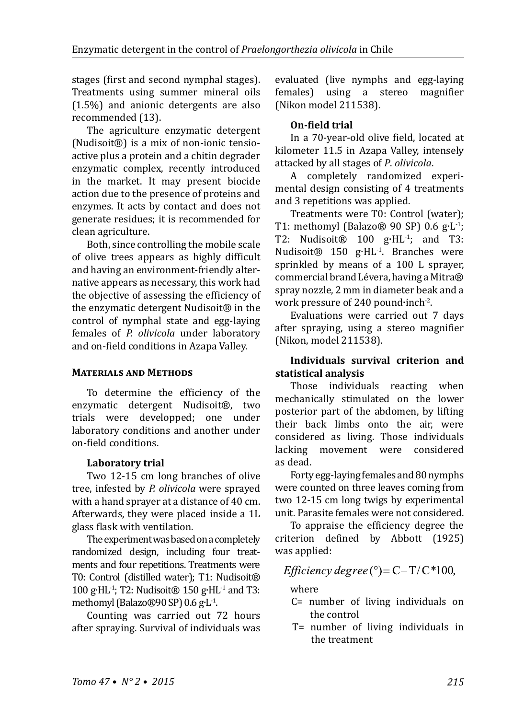stages (first and second nymphal stages). Treatments using summer mineral oils (1.5%) and anionic detergents are also recommended (13).

The agriculture enzymatic detergent (Nudisoit®) is a mix of non-ionic tensioactive plus a protein and a chitin degrader enzymatic complex, recently introduced in the market. It may present biocide action due to the presence of proteins and enzymes. It acts by contact and does not generate residues; it is recommended for clean agriculture.

Both, since controlling the mobile scale of olive trees appears as highly difficult and having an environment-friendly alternative appears as necessary, this work had the objective of assessing the efficiency of the enzymatic detergent Nudisoit® in the control of nymphal state and egg-laying females of *P. olivicola* under laboratory and on-field conditions in Azapa Valley.

### **Materials and Methods**

To determine the efficiency of the enzymatic detergent Nudisoit®, two trials were developped; one under laboratory conditions and another under on-field conditions.

### **Laboratory trial**

Two 12-15 cm long branches of olive tree, infested by *P. olivicola* were sprayed with a hand sprayer at a distance of 40 cm. Afterwards, they were placed inside a 1L glass flask with ventilation.

The experiment was based on a completely randomized design, including four treatments and four repetitions. Treatments were T0: Control (distilled water); T1: Nudisoit® 100 g∙HL-1; T2: Nudisoit® 150 g∙HL-1 and T3: methomyl (Balazo®90 SP) 0.6 g∙L-1.

Counting was carried out 72 hours after spraying. Survival of individuals was evaluated (live nymphs and egg-laying<br>females) using a stereo magnifier females) using a stereo (Nikon model 211538).

## **On-field trial**

In a 70-year-old olive field, located at kilometer 11.5 in Azapa Valley, intensely attacked by all stages of *P*. *olivicola*.

A completely randomized experimental design consisting of 4 treatments and 3 repetitions was applied.

Treatments were T0: Control (water); T1: methomyl (Balazo® 90 SP) 0.6 g∙L-1; T2: Nudisoit® 100 g∙HL-1; and T3: Nudisoit® 150 g∙HL-1. Branches were sprinkled by means of a 100 L sprayer, commercial brand Lévera, having a Mitra® spray nozzle, 2 mm in diameter beak and a work pressure of 240 pound∙inch-2.

Evaluations were carried out 7 days after spraying, using a stereo magnifier (Nikon, model 211538).

### **Individuals survival criterion and statistical analysis**

Those individuals reacting when mechanically stimulated on the lower posterior part of the abdomen, by lifting their back limbs onto the air, were considered as living. Those individuals lacking movement were considered as dead.

Forty egg-laying females and 80nymphs were counted on three leaves coming from two 12-15 cm long twigs by experimental unit. Parasite females were not considered.

To appraise the efficiency degree the criterion defined by Abbott (1925) was applied:

## *Efficiency degree* (°)= $C-T/C*100$ ,

### where

- C= number of living individuals on the control
- T= number of living individuals in the treatment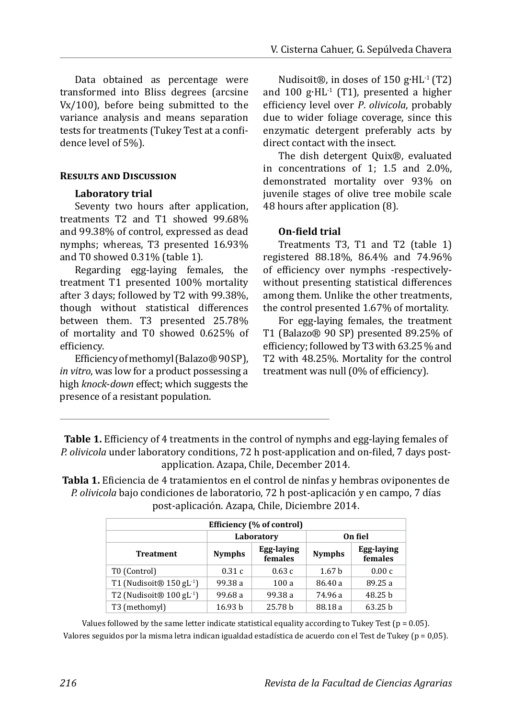Data obtained as percentage were transformed into Bliss degrees (arcsine Vx/100), before being submitted to the variance analysis and means separation tests for treatments (Tukey Test at a confidence level of 5%).

### **Results and Discussion**

### **Laboratory trial**

Seventy two hours after application, treatments T2 and T1 showed 99.68% and 99.38% of control, expressed as dead nymphs; whereas, T3 presented 16.93% and T0 showed 0.31% (table 1).

Regarding egg-laying females, the treatment T1 presented 100% mortality after 3 days; followed by T2 with 99.38%, though without statistical differences between them. T3 presented 25.78% of mortality and T0 showed 0.625% of efficiency.

Efficiency of methomyl (Balazo®90SP), *in vitro*, was low for a product possessing a high *knock*-*down* effect; which suggests the presence of a resistant population.

Nudisoit®, in doses of 150 g∙HL-1 (T2) and 100 g∙HL-1 (T1), presented a higher efficiency level over *P*. *olivicola*, probably due to wider foliage coverage, since this enzymatic detergent preferably acts by direct contact with the insect.

The dish detergent Quix®, evaluated in concentrations of 1; 1.5 and 2.0%, demonstrated mortality over 93% on juvenile stages of olive tree mobile scale 48 hours after application (8).

### **On-field trial**

Treatments T3, T1 and T2 (table 1) registered 88.18%, 86.4% and 74.96% of efficiency over nymphs -respectivelywithout presenting statistical differences among them. Unlike the other treatments, the control presented 1.67% of mortality.

For egg-laying females, the treatment T1 (Balazo® 90 SP) presented 89.25% of efficiency; followed by T3 with 63.25 % and T2 with 48.25%. Mortality for the control treatment was null (0% of efficiency).

**Table 1.** Efficiency of 4 treatments in the control of nymphs and egg-laying females of *P. olivicola* under laboratory conditions, 72 h post-application and on-filed, 7 days postapplication. Azapa, Chile, December 2014.

**Tabla 1.** Eficiencia de 4 tratamientos en el control de ninfas y hembras oviponentes de *P. olivicola* bajo condiciones de laboratorio, 72 h post-aplicación y en campo, 7 días post-aplicación. Azapa, Chile, Diciembre 2014.

| Efficiency (% of control)              |                    |                       |                   |                       |
|----------------------------------------|--------------------|-----------------------|-------------------|-----------------------|
|                                        | Laboratory         |                       | On fiel           |                       |
| <b>Treatment</b>                       | <b>Nymphs</b>      | Egg-laying<br>females | <b>Nymphs</b>     | Egg-laying<br>females |
| T0 (Control)                           | 0.31c              | 0.63c                 | 1.67 <sub>b</sub> | 0.00c                 |
| T1 (Nudisoit® $150$ gL <sup>-1</sup> ) | 99.38 a            | 100a                  | 86.40 a           | 89.25 a               |
| T2 (Nudisoit® $100$ gL <sup>-1</sup> ) | 99.68 a            | 99.38 a               | 74.96 a           | 48.25 b               |
| T3 (methomyl)                          | 16.93 <sub>b</sub> | 25.78 b               | 88.18 a           | 63.25 <sub>b</sub>    |

Values followed by the same letter indicate statistical equality according to Tukey Test ( $p = 0.05$ ). Valores seguidos por la misma letra indican igualdad estadística de acuerdo con el Test de Tukey ( $p = 0.05$ ).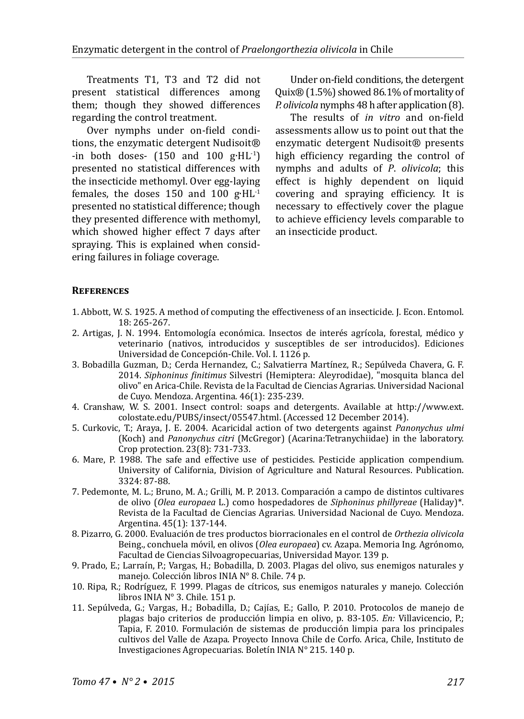Treatments T1, T3 and T2 did not present statistical differences among them; though they showed differences regarding the control treatment.

Over nymphs under on-field conditions, the enzymatic detergent Nudisoit® -in both doses- (150 and 100 g∙HL-1) presented no statistical differences with the insecticide methomyl. Over egg-laying females, the doses 150 and 100 g∙HL-1 presented no statistical difference; though they presented difference with methomyl, which showed higher effect 7 days after spraying. This is explained when considering failures in foliage coverage.

Under on-field conditions, the detergent Quix® (1.5%) showed 86.1% of mortality of *P. olivicola* nymphs 48 h after application (8).

The results of *in vitro* and on-field assessments allow us to point out that the enzymatic detergent Nudisoit® presents high efficiency regarding the control of nymphs and adults of *P*. *olivicola*; this effect is highly dependent on liquid covering and spraying efficiency. It is necessary to effectively cover the plague to achieve efficiency levels comparable to an insecticide product.

#### **References**

- 1. Abbott, W. S. 1925. A method of computing the effectiveness of an insecticide. J. Econ. Entomol. 18: 265-267.
- 2. Artigas, J. N. 1994. Entomología económica. Insectos de interés agrícola, forestal, médico y veterinario (nativos, introducidos y susceptibles de ser introducidos). Ediciones Universidad de Concepción-Chile. Vol. I. 1126 p.
- 3. Bobadilla Guzman, D.; Cerda Hernandez, C.; Salvatierra Martínez, R.; Sepúlveda Chavera, G. F. 2014. *Siphoninus finitimus* Silvestri (Hemiptera: Aleyrodidae), "mosquita blanca del olivo" en Arica-Chile. Revista de la Facultad de Ciencias Agrarias. Universidad Nacional de Cuyo. Mendoza. Argentina. 46(1): 235-239.
- 4. Cranshaw, W. S. 2001. Insect control: soaps and detergents. Available at http://www.ext. colostate.edu/PUBS/insect/05547.html. (Accessed 12 December 2014).
- 5. Curkovic, T.; Araya, J. E. 2004. Acaricidal action of two detergents against *Panonychus ulmi* (Koch) and *Panonychus citri* (McGregor) (Acarina:Tetranychiidae) in the laboratory. Crop protection. 23(8): 731-733.
- 6. Mare, P. 1988. The safe and effective use of pesticides. Pesticide application compendium. University of California, Division of Agriculture and Natural Resources. Publication. 3324: 87-88.
- 7. Pedemonte, M. L.; Bruno, M. A.; Grilli, M. P. 2013. Comparación a campo de distintos cultivares de olivo (*Olea europaea* L.) como hospedadores de *Siphoninus phillyreae* (Haliday)\*. Revista de la Facultad de Ciencias Agrarias. Universidad Nacional de Cuyo. Mendoza. Argentina. 45(1): 137-144.
- 8. Pizarro, G. 2000. Evaluación de tres productos biorracionales en el control de *Orthezia olivicola*  Being., conchuela móvil, en olivos (*Olea europaea*) cv. Azapa. Memoria Ing. Agrónomo, Facultad de Ciencias Silvoagropecuarias, Universidad Mayor. 139 p.
- 9. Prado, E.; Larraín, P.; Vargas, H.; Bobadilla, D. 2003. Plagas del olivo, sus enemigos naturales y manejo. Colección libros INIA N° 8. Chile. 74 p.
- 10. Ripa, R.; Rodríguez, F. 1999. Plagas de cítricos, sus enemigos naturales y manejo. Colección libros INIA N° 3. Chile. 151 p.
- 11. Sepúlveda, G.; Vargas, H.; Bobadilla, D.; Cajías, E.; Gallo, P. 2010. Protocolos de manejo de plagas bajo criterios de producción limpia en olivo, p. 83-105. *En:* Villavicencio, P.; Tapia, F. 2010. Formulación de sistemas de producción limpia para los principales cultivos del Valle de Azapa. Proyecto Innova Chile de Corfo. Arica, Chile, Instituto de Investigaciones Agropecuarias. Boletín INIA N° 215. 140 p.